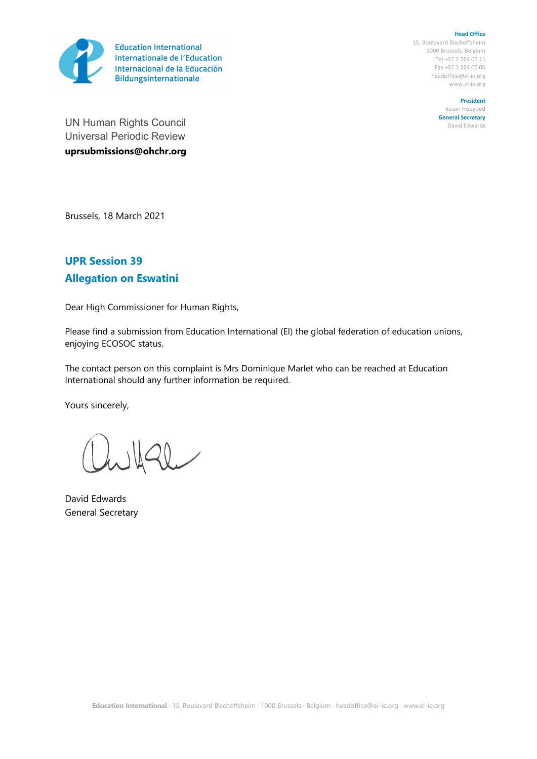

**Head Office** 15, Boulevard Bischoffsheim 1000 Brussels, Belgium Tel +32 2 224 06 11 Fax +32 2 224 06 06 headoffice@ei-ie.org www.ei-ie.org

**President**

Susan Hopgood **General Secretary** David Edwards

UN Human Rights Council Universal Periodic Review **uprsubmissions@ohchr.org**

Brussels, 18 March 2021

## **UPR Session 39 Allegation on Eswatini**

Dear High Commissioner for Human Rights,

Please find <sup>a</sup> submission from Education International (EI) the global federation of education unions, enjoying ECOSOC status.

The contact person on this complaint is Mrs Dominique Marlet who can be reached at Education International should any further information be required.

Yours sincerely,

 $20$ 

David Edwards General Secretary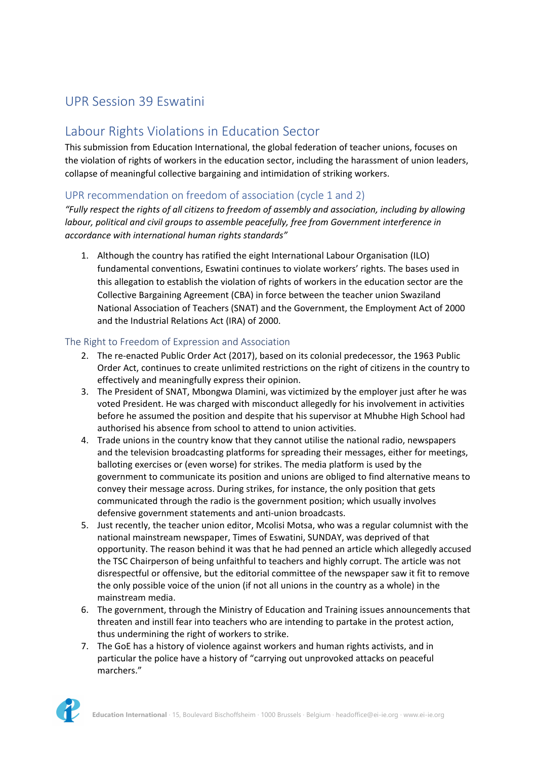# UPR Session 39 Eswatini

## Labour Rights Violations in Education Sector

This submission from Education International, the global federation of teacher unions, focuses on the violation of rights of workers in the education sector, including the harassment of union leaders, collapse of meaningful collective bargaining and intimidation of striking workers.

**22** 

### UPR recommendation on freedom of association (cycle 1 and 2)

*"Fully respect the rights of all citizens to freedom of assembly and association, including by allowing labour, political and civil groups to assemble peacefully, free from Government interference in accordance with international human rights standards"*

1. Although the country has ratified the eight International Labour Organisation (ILO) fundamental conventions, Eswatini continues to violate workers' rights. The bases used in this allegation to establish the violation of rights of workers in the education sector are the Collective Bargaining Agreement (CBA) in force between the teacher union Swaziland National Association of Teachers (SNAT) and the Government, the Employment Act of 2000 and the Industrial Relations Act (IRA) of 2000.

#### The Right to Freedom of Expression and Association

- 2. The re-enacted Public Order Act (2017), based on its colonial predecessor, the 1963 Public Order Act, continues to create unlimited restrictions on the right of citizens in the country to effectively and meaningfully express their opinion.
- 3. The President of SNAT, Mbongwa Dlamini, was victimized by the employer just after he was voted President. He was charged with misconduct allegedly for his involvement in activities before he assumed the position and despite that his supervisor at Mhubhe High School had authorised his absence from school to attend to union activities.
- 4. Trade unions in the country know that they cannot utilise the national radio, newspapers and the television broadcasting platforms for spreading their messages, either for meetings, balloting exercises or (even worse) for strikes. The media platform is used by the government to communicate its position and unions are obliged to find alternative means to convey their message across. During strikes, for instance, the only position that gets communicated through the radio is the government position; which usually involves defensive government statements and anti-union broadcasts.
- 5. Just recently, the teacher union editor, Mcolisi Motsa, who was <sup>a</sup> regular columnist with the national mainstream newspaper, Times of Eswatini, SUNDAY, was deprived of that opportunity. The reason behind it was that he had penned an article which allegedly accused the TSC Chairperson of being unfaithful to teachers and highly corrupt. The article was not disrespectful or offensive, but the editorial committee of the newspaper saw it fit to remove the only possible voice of the union (if not all unions in the country as <sup>a</sup> whole) in the mainstream media.
- 6. The government, through the Ministry of Education and Training issues announcements that threaten and instill fear into teachers who are intending to partake in the protest action, thus undermining the right of workers to strike.
- 7. The GoE has <sup>a</sup> history of violence against workers and human rights activists, and in particular the police have <sup>a</sup> history of "carrying out unprovoked attacks on peaceful marchers."

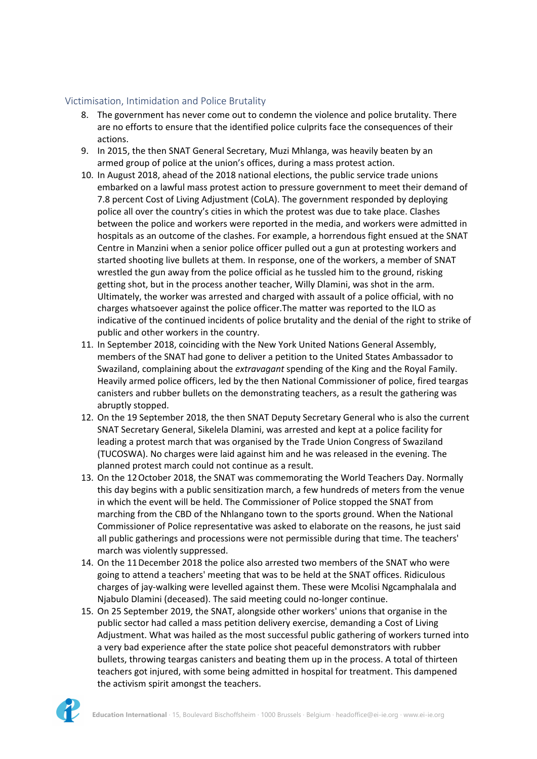#### Victimisation, Intimidation and Police Brutality

- 8. The government has never come out to condemn the violence and police brutality. There are no efforts to ensure that the identified police culprits face the consequences of their actions.
- 9. In 2015, the then SNAT General Secretary, Muzi Mhlanga, was heavily beaten by an armed group of police at the union'<sup>s</sup> offices, during <sup>a</sup> mass protest action.
- 10. In August 2018, ahead of the 2018 national elections, the public service trade unions embarked on <sup>a</sup> lawful mass protest action to pressure government to meet their demand of 7.8 percent Cost of Living Adjustment (CoLA). The government responded by deploying police all over the country'<sup>s</sup> cities in which the protest was due to take place. Clashes between the police and workers were reported in the media, and workers were admitted in hospitals as an outcome of the clashes. For example, <sup>a</sup> horrendous fight ensued at the SNAT Centre in Manzini when <sup>a</sup> senior police officer pulled out <sup>a</sup> gun at protesting workers and started shooting live bullets at them. In response, one of the workers, <sup>a</sup> member of SNAT wrestled the gun away from the police official as he tussled him to the ground, risking getting shot, but in the process another teacher, Willy Dlamini, was shot in the arm. Ultimately, the worker was arrested and charged with assault of <sup>a</sup> police official, with no charges whatsoever against the police officer.The matter was reported to the ILO as indicative of the continued incidents of police brutality and the denial of the right to strike of public and other workers in the country.
- 11. In September 2018, coinciding with the New York United Nations General Assembly, members of the SNAT had gone to deliver <sup>a</sup> petition to the United States Ambassador to Swaziland, complaining about the *extravagant* spending of the King and the Royal Family. Heavily armed police officers, led by the then National Commissioner of police, fired teargas canisters and rubber bullets on the demonstrating teachers, as <sup>a</sup> result the gathering was abruptly stopped.
- 12. On the 19 September 2018, the then SNAT Deputy Secretary General who is also the current SNAT Secretary General, Sikelela Dlamini, was arrested and kept at <sup>a</sup> police facility for leading <sup>a</sup> protest march that was organised by the Trade Union Congress of Swaziland (TUCOSWA). No charges were laid against him and he was released in the evening. The planned protest march could not continue as <sup>a</sup> result.
- 13. On the 12October 2018, the SNAT was commemorating the World Teachers Day. Normally this day begins with <sup>a</sup> public sensitization march, <sup>a</sup> few hundreds of meters from the venue in which the event will be held. The Commissioner of Police stopped the SNAT from marching from the CBD of the Nhlangano town to the sports ground. When the National Commissioner of Police representative was asked to elaborate on the reasons, he just said all public gatherings and processions were not permissible during that time. The teachers' march was violently suppressed.
- 14. On the 11December 2018 the police also arrested two members of the SNAT who were going to attend <sup>a</sup> teachers' meeting that was to be held at the SNAT offices. Ridiculous charges of jay-walking were levelled against them. These were Mcolisi Ngcamphalala and Njabulo Dlamini (deceased). The said meeting could no-longer continue.
- 15. On 25 September 2019, the SNAT, alongside other workers' unions that organise in the public sector had called <sup>a</sup> mass petition delivery exercise, demanding <sup>a</sup> Cost of Living Adjustment. What was hailed as the most successful public gathering of workers turned into <sup>a</sup> very bad experience after the state police shot peaceful demonstrators with rubber bullets, throwing teargas canisters and beating them up in the process. A total of thirteen teachers got injured, with some being admitted in hospital for treatment. This dampened the activism spirit amongst the teachers.

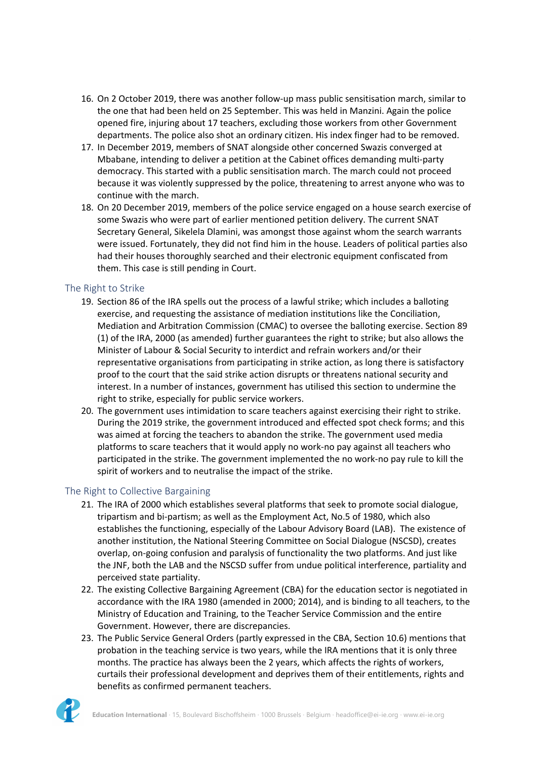16. On 2 October 2019, there was another follow-up mass public sensitisation march, similar to the one that had been held on 25 September. This was held in Manzini. Again the police opened fire, injuring about 17 teachers, excluding those workers from other Government departments. The police also shot an ordinary citizen. His index finger had to be removed.

4

- 17. In December 2019, members of SNAT alongside other concerned Swazis converged at Mbabane, intending to deliver <sup>a</sup> petition at the Cabinet offices demanding multi-party democracy. This started with <sup>a</sup> public sensitisation march. The march could not proceed because it was violently suppressed by the police, threatening to arrest anyone who was to continue with the march.
- 18. On 20 December 2019, members of the police service engaged on <sup>a</sup> house search exercise of some Swazis who were part of earlier mentioned petition delivery. The current SNAT Secretary General, Sikelela Dlamini, was amongst those against whom the search warrants were issued. Fortunately, they did not find him in the house. Leaders of political parties also had their houses thoroughly searched and their electronic equipment confiscated from them. This case is still pending in Court.

#### The Right to Strike

- 19. Section 86 of the IRA spells out the process of <sup>a</sup> lawful strike; which includes <sup>a</sup> balloting exercise, and requesting the assistance of mediation institutions like the Conciliation, Mediation and Arbitration Commission (CMAC) to oversee the balloting exercise. Section 89 (1) of the IRA, 2000 (as amended) further guarantees the right to strike; but also allows the Minister of Labour & Social Security to interdict and refrain workers and/or their representative organisations from participating in strike action, as long there is satisfactory proof to the court that the said strike action disrupts or threatens national security and interest. In <sup>a</sup> number of instances, government has utilised this section to undermine the right to strike, especially for public service workers.
- 20. The government uses intimidation to scare teachers against exercising their right to strike. During the 2019 strike, the government introduced and effected spot check forms; and this was aimed at forcing the teachers to abandon the strike. The government used media platforms to scare teachers that it would apply no work-no pay against all teachers who participated in the strike. The government implemented the no work-no pay rule to kill the spirit of workers and to neutralise the impact of the strike.

#### The Right to Collective Bargaining

- 21. The IRA of 2000 which establishes several platforms that seek to promote social dialogue, tripartism and bi-partism; as well as the Employment Act, No.5 of 1980, which also establishes the functioning, especially of the Labour Advisory Board (LAB). The existence of another institution, the National Steering Committee on Social Dialogue (NSCSD), creates overlap, on-going confusion and paralysis of functionality the two platforms. And just like the JNF, both the LAB and the NSCSD suffer from undue political interference, partiality and perceived state partiality.
- 22. The existing Collective Bargaining Agreement (CBA) for the education sector is negotiated in accordance with the IRA 1980 (amended in 2000; 2014), and is binding to all teachers, to the Ministry of Education and Training, to the Teacher Service Commission and the entire Government. However, there are discrepancies.
- 23. The Public Service General Orders (partly expressed in the CBA, Section 10.6) mentions that probation in the teaching service is two years, while the IRA mentions that it is only three months. The practice has always been the 2 years, which affects the rights of workers, curtails their professional development and deprives them of their entitlements, rights and benefits as confirmed permanent teachers.

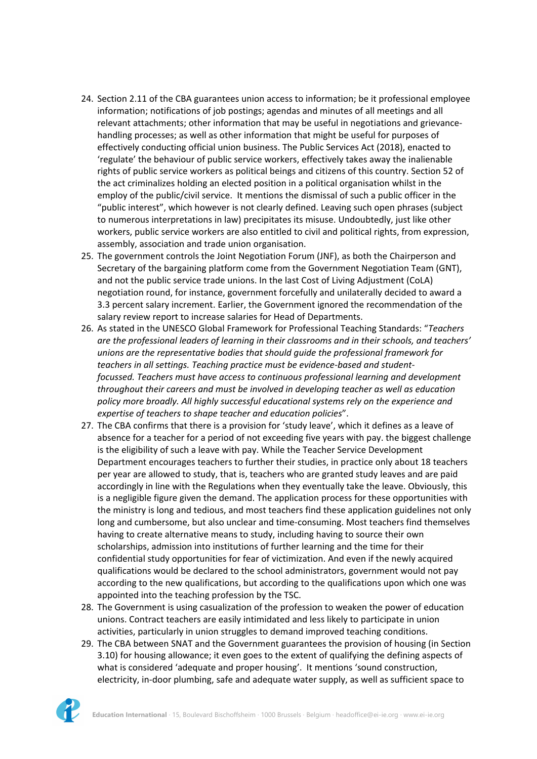- 24. Section 2.11 of the CBA guarantees union access to information; be it professional employee information; notifications of job postings; agendas and minutes of all meetings and all relevant attachments; other information that may be useful in negotiations and grievancehandling processes; as well as other information that might be useful for purposes of effectively conducting official union business. The Public Services Act (2018), enacted to 'regulate' the behaviour of public service workers, effectively takes away the inalienable rights of public service workers as political beings and citizens of this country. Section 52 of the act criminalizes holding an elected position in <sup>a</sup> political organisation whilst in the employ of the public/civil service. It mentions the dismissal of such <sup>a</sup> public officer in the "public interest", which however is not clearly defined. Leaving such open phrases (subject to numerous interpretations in law) precipitates its misuse. Undoubtedly, just like other workers, public service workers are also entitled to civil and political rights, from expression, assembly, association and trade union organisation.
- 25. The government controls the Joint Negotiation Forum (JNF), as both the Chairperson and Secretary of the bargaining platform come from the Government Negotiation Team (GNT), and not the public service trade unions. In the last Cost of Living Adjustment (CoLA) negotiation round, for instance, government forcefully and unilaterally decided to award <sup>a</sup> 3.3 percent salary increment. Earlier, the Government ignored the recommendation of the salary review report to increase salaries for Head of Departments.
- 26. As stated in the UNESCO Global Framework for Professional Teaching Standards: "*Teachers are the professional leaders of learning in their classrooms and in their schools, and teachers' unions are the representative bodies that should guide the professional framework for teachers in all settings. Teaching practice must be evidence-based and studentfocussed. Teachers must have access to continuous professional learning and development throughout their careers and must be involved in developing teacher as well as education policy more broadly. All highly successful educational systems rely on the experience and expertise of teachers to shape teacher and education policies*".
- 27. The CBA confirms that there is <sup>a</sup> provision for 'study leave', which it defines as <sup>a</sup> leave of absence for <sup>a</sup> teacher for <sup>a</sup> period of not exceeding five years with pay. the biggest challenge is the eligibility of such <sup>a</sup> leave with pay. While the Teacher Service Development Department encourages teachers to further their studies, in practice only about 18 teachers per year are allowed to study, that is, teachers who are granted study leaves and are paid accordingly in line with the Regulations when they eventually take the leave. Obviously, this is <sup>a</sup> negligible figure given the demand. The application process for these opportunities with the ministry is long and tedious, and most teachers find these application guidelines not only long and cumbersome, but also unclear and time-consuming. Most teachers find themselves having to create alternative means to study, including having to source their own scholarships, admission into institutions of further learning and the time for their confidential study opportunities for fear of victimization. And even if the newly acquired qualifications would be declared to the school administrators, government would not pay according to the new qualifications, but according to the qualifications upon which one was appointed into the teaching profession by the TSC.
- 28. The Government is using casualization of the profession to weaken the power of education unions. Contract teachers are easily intimidated and less likely to participate in union activities, particularly in union struggles to demand improved teaching conditions.
- 29. The CBA between SNAT and the Government guarantees the provision of housing (in Section 3.10) for housing allowance; it even goes to the extent of qualifying the defining aspects of what is considered 'adequate and proper housing'. It mentions 'sound construction, electricity, in-door plumbing, safe and adequate water supply, as well as sufficient space to